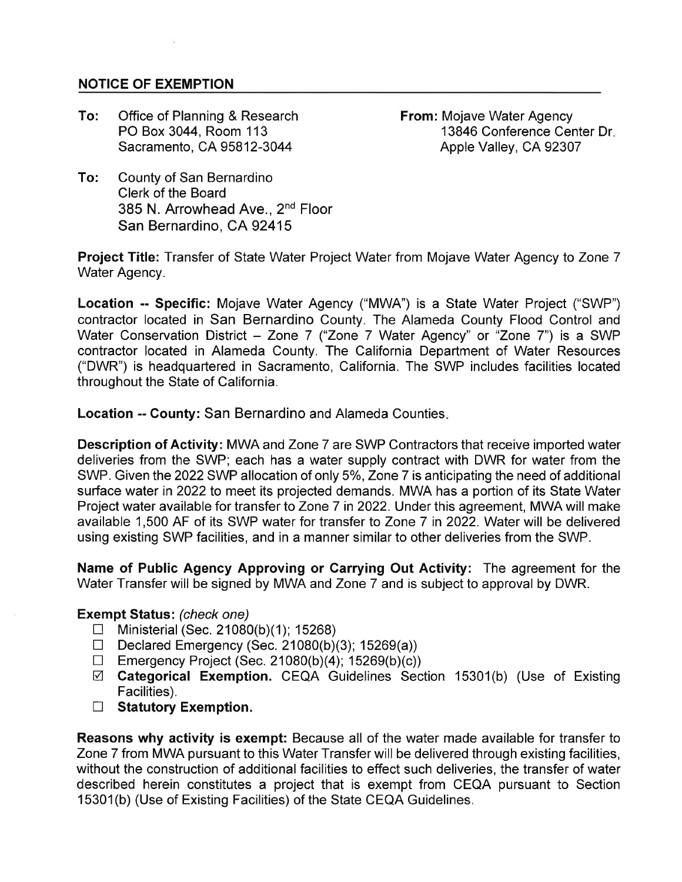## **NOTICE OF EXEMPTION**

To: Office of Planning & Research PO Box 3044, Room 113 Sacramento, CA 95812-3044

From: Mojave Water Agency 13846 Conference Center Dr Apple Valley, CA 92307

To: County of San Bernardino Clerk of the Board 385 N. Arrowhead Ave., 2nd Floor San Bernardino, CA 92415

Project Title: Transfer of State Water Project Water from Mojave Water Agency to Zone 7 Water Agency.

Location -- Specific: Mojave Water Agency ("MWA') is a State Water Project ("SWP") contractor located in San Bernardino County. The Alameda County Flood Control and Water Conservation District - Zone 7 ("Zone 7 Water Agency" or "Zone 7") is a SWP contractor located in Alameda County. The California Department of Water Resources ("DWR') is headquartered in Sacramento, California. The SWP includes facilities located throughout the State of California.

Location -- Gounty: San Bernardino and Alameda Counties

Description of Activity: MWA and Zone 7 are SWP Contractors that receive imported water deliveries from the SWP; each has a water supply contract with DWR for water from the SWP. Given the 2022 SWP allocation of only 5%, Zone 7 is anticipating the need of additional surface water in 2022 to meet its projected demands. MWA has a portion of its State Water Project water available for transfer to Zone 7 in 2022. Under this agreement, MWA will make available 1,500 AF of its SWP water for transfer to Zone 7 in 2022. Water will be delivered using existing SWP facilities, and in a manner similar to other deliveries from the SWP.

Name of Public Agency Approving or Garrying Out Activity: The agreement for the Water Transfer will be signed by MWA and Zone 7 and is subject to approval by DWR.

## Exempt Status: (check one)

- $\Box$  Ministerial (Sec. 21080(b)(1); 15268)
- Declared Emergency (Sec. 21080(b)(3); 15269(a))
- $\Box$  Emergency Project (Sec. 21080(b)(4); 15269(b)(c))
- $\boxtimes$  Categorical Exemption. CEQA Guidelines Section 15301(b) (Use of Existing Facilities).
- $\Box$  Statutory Exemption.

Reasons why activity is exempt: Because all of the water made available for transfer to Zone 7 from MWA pursuant to this Water Transfer will be delivered through existing facilities, without the construction of additional facilities to effect such deliveries, the transfer of water described herein constitutes a project that is exempt from CEQA pursuant to Section 15301(b) (Use of Existing Facilities) of the State CEQA Guidelines.